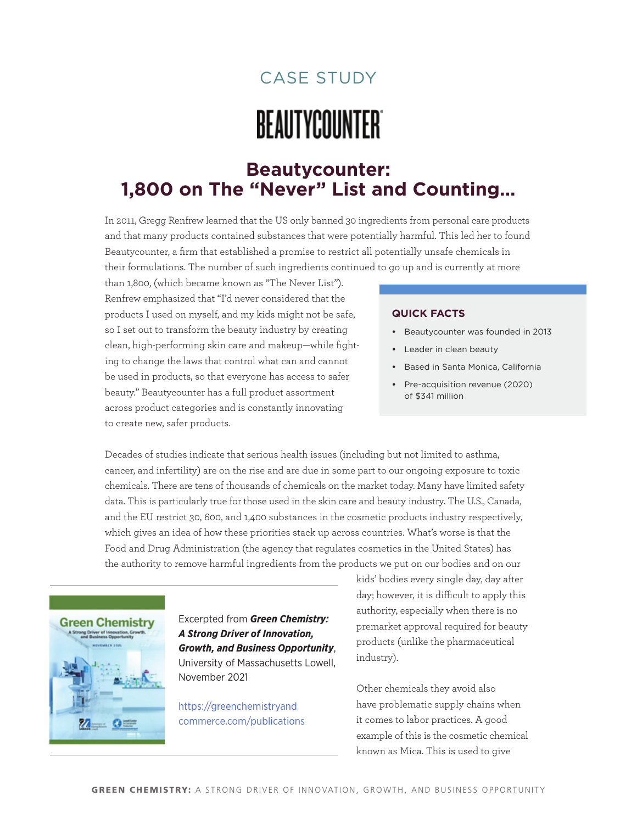## case studY

# **BEAUTYCOUNTER**

## **Beautycounter: 1,800 on The "Never" List and Counting…**

In 2011, Gregg Renfrew learned that the US only banned 30 ingredients from personal care products and that many products contained substances that were potentially harmful. This led her to found Beautycounter, a firm that established a promise to restrict all potentially unsafe chemicals in their formulations. The number of such ingredients continued to go up and is currently at more

than 1,800, (which became known as "The Never List"). Renfrew emphasized that "I'd never considered that the products I used on myself, and my kids might not be safe, so I set out to transform the beauty industry by creating clean, high-performing skin care and makeup—while fighting to change the laws that control what can and cannot be used in products, so that everyone has access to safer beauty." Beautycounter has a full product assortment across product categories and is constantly innovating to create new, safer products.

#### **quick Facts**

- **•**  Beautycounter was founded in 2013
- **•**  Leader in clean beauty
- **•**  Based in Santa Monica, California
- **•**  Pre-acquisition revenue (2020) of \$341 million

Decades of studies indicate that serious health issues (including but not limited to asthma, cancer, and infertility) are on the rise and are due in some part to our ongoing exposure to toxic chemicals. There are tens of thousands of chemicals on the market today. Many have limited safety data. This is particularly true for those used in the skin care and beauty industry. The U.S., Canada, and the EU restrict 30, 600, and 1,400 substances in the cosmetic products industry respectively, which gives an idea of how these priorities stack up across countries. What's worse is that the Food and Drug Administration (the agency that regulates cosmetics in the United States) has the authority to remove harmful ingredients from the products we put on our bodies and on our



Excerpted from *Green Chemistry: A Strong Driver of Innovation, Growth, and Business Opportunity*, University of Massachusetts Lowell, November 2021

[https://greenchemistryand](https://greenchemistryandcommerce.com/publications) [commerce.com/publications](https://greenchemistryandcommerce.com/publications) kids' bodies every single day, day after day; however, it is difficult to apply this authority, especially when there is no premarket approval required for beauty products (unlike the pharmaceutical industry).

Other chemicals they avoid also have problematic supply chains when it comes to labor practices. A good example of this is the cosmetic chemical known as Mica. This is used to give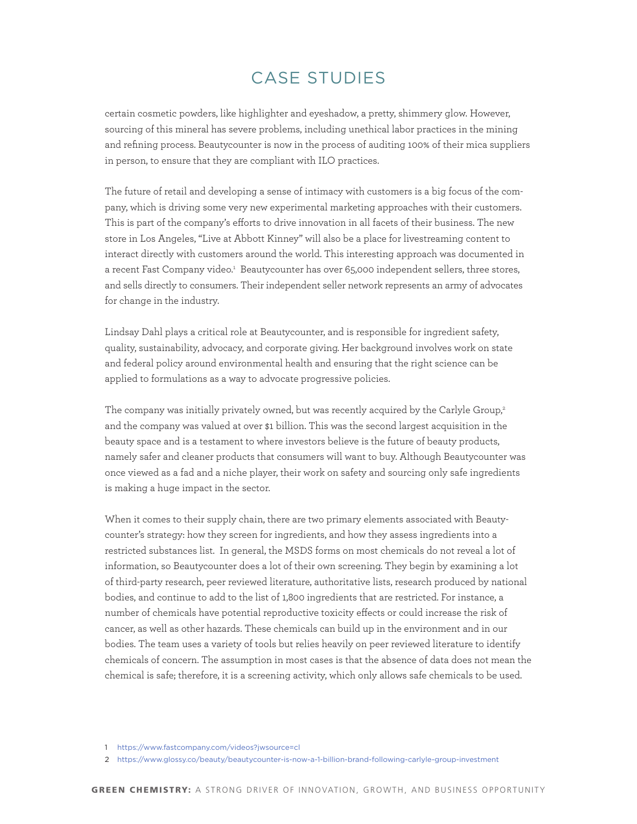## case studies

certain cosmetic powders, like highlighter and eyeshadow, a pretty, shimmery glow. However, sourcing of this mineral has severe problems, including unethical labor practices in the mining and refining process. Beautycounter is now in the process of auditing 100% of their mica suppliers in person, to ensure that they are compliant with ILO practices.

The future of retail and developing a sense of intimacy with customers is a big focus of the company, which is driving some very new experimental marketing approaches with their customers. This is part of the company's efforts to drive innovation in all facets of their business. The new store in Los Angeles, "Live at Abbott Kinney" will also be a place for livestreaming content to interact directly with customers around the world. This interesting approach was documented in a recent Fast Company video.<sup>1</sup> Beautycounter has over 65,000 independent sellers, three stores, and sells directly to consumers. Their independent seller network represents an army of advocates for change in the industry.

Lindsay Dahl plays a critical role at Beautycounter, and is responsible for ingredient safety, quality, sustainability, advocacy, and corporate giving. Her background involves work on state and federal policy around environmental health and ensuring that the right science can be applied to formulations as a way to advocate progressive policies.

The company was initially privately owned, but was recently acquired by the Carlyle Group,<sup>2</sup> and the company was valued at over \$1 billion. This was the second largest acquisition in the beauty space and is a testament to where investors believe is the future of beauty products, namely safer and cleaner products that consumers will want to buy. Although Beautycounter was once viewed as a fad and a niche player, their work on safety and sourcing only safe ingredients is making a huge impact in the sector.

When it comes to their supply chain, there are two primary elements associated with Beautycounter's strategy: how they screen for ingredients, and how they assess ingredients into a restricted substances list. In general, the MSDS forms on most chemicals do not reveal a lot of information, so Beautycounter does a lot of their own screening. They begin by examining a lot of third-party research, peer reviewed literature, authoritative lists, research produced by national bodies, and continue to add to the list of 1,800 ingredients that are restricted. For instance, a number of chemicals have potential reproductive toxicity effects or could increase the risk of cancer, as well as other hazards. These chemicals can build up in the environment and in our bodies. The team uses a variety of tools but relies heavily on peer reviewed literature to identify chemicals of concern. The assumption in most cases is that the absence of data does not mean the chemical is safe; therefore, it is a screening activity, which only allows safe chemicals to be used.

<sup>1</sup> <https://www.fastcompany.com/videos?jwsource=cl>

<sup>2</sup> <https://www.glossy.co/beauty/beautycounter-is-now-a-1-billion-brand-following-carlyle-group-investment>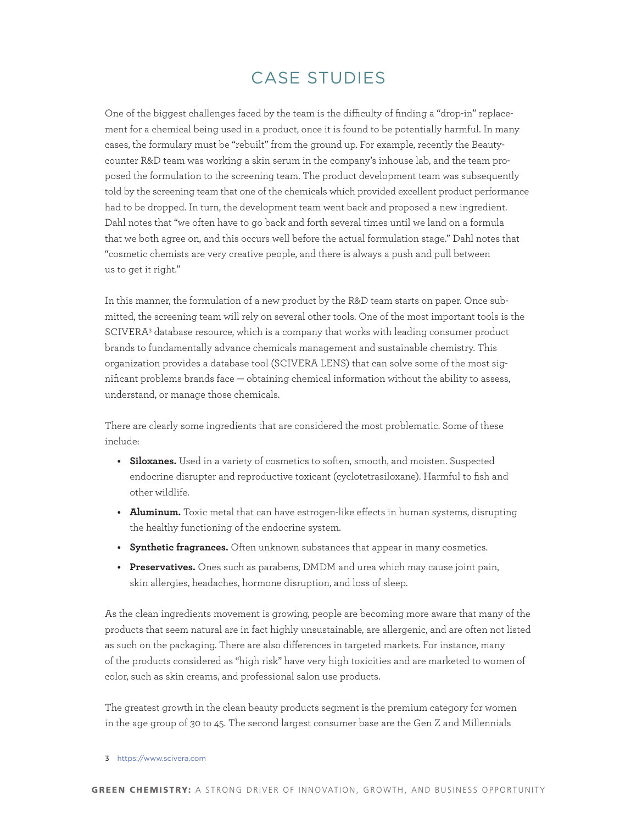## case studies

One of the biggest challenges faced by the team is the difficulty of finding a "drop-in" replacement for a chemical being used in a product, once it is found to be potentially harmful. In many cases, the formulary must be "rebuilt" from the ground up. For example, recently the Beautycounter R&D team was working a skin serum in the company's inhouse lab, and the team proposed the formulation to the screening team. The product development team was subsequently told by the screening team that one of the chemicals which provided excellent product performance had to be dropped. In turn, the development team went back and proposed a new ingredient. Dahl notes that "we often have to go back and forth several times until we land on a formula that we both agree on, and this occurs well before the actual formulation stage." Dahl notes that "cosmetic chemists are very creative people, and there is always a push and pull between us to get it right."

In this manner, the formulation of a new product by the R&D team starts on paper. Once submitted, the screening team will rely on several other tools. One of the most important tools is the SCIVERA<sup>3</sup> database resource, which is a company that works with leading consumer product brands to fundamentally advance chemicals management and sustainable chemistry. This organization provides a database tool (SCIVERA LENS) that can solve some of the most significant problems brands face — obtaining chemical information without the ability to assess, understand, or manage those chemicals.

There are clearly some ingredients that are considered the most problematic. Some of these include:

- **• Siloxanes.** Used in a variety of cosmetics to soften, smooth, and moisten. Suspected endocrine disrupter and reproductive toxicant (cyclotetrasiloxane). Harmful to fish and other wildlife.
- **Aluminum.** Toxic metal that can have estrogen-like effects in human systems, disrupting the healthy functioning of the endocrine system.
- **• Synthetic fragrances.** Often unknown substances that appear in many cosmetics.
- **• Preservatives.** Ones such as parabens, DMDM and urea which may cause joint pain, skin allergies, headaches, hormone disruption, and loss of sleep.

As the clean ingredients movement is growing, people are becoming more aware that many of the products that seem natural are in fact highly unsustainable, are allergenic, and are often not listed as such on the packaging. There are also differences in targeted markets. For instance, many of the products considered as "high risk" have very high toxicities and are marketed to women of color, such as skin creams, and professional salon use products.

The greatest growth in the clean beauty products segment is the premium category for women in the age group of 30 to 45. The second largest consumer base are the Gen Z and Millennials

<sup>3</sup> <https://www.scivera.com>